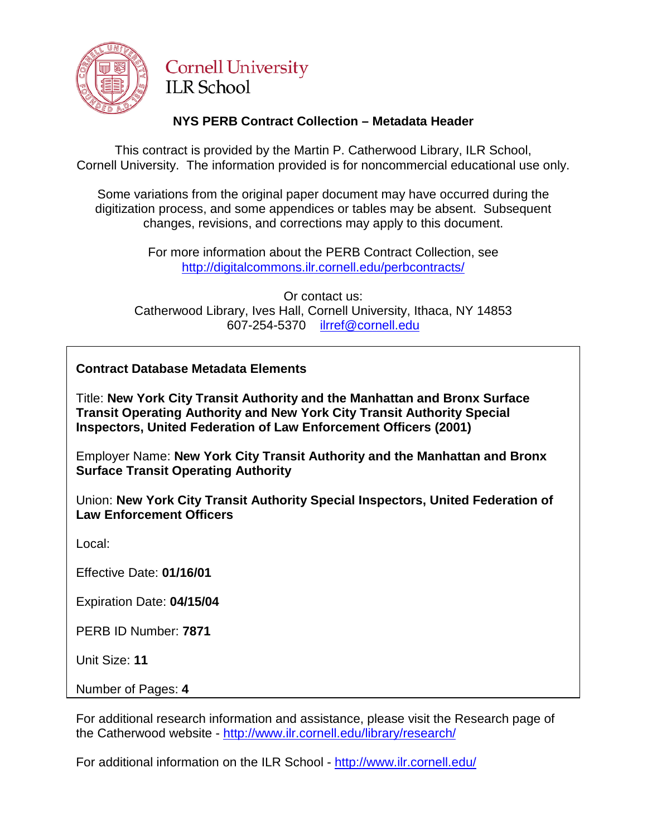

# **Cornell University ILR School**

## **NYS PERB Contract Collection – Metadata Header**

This contract is provided by the Martin P. Catherwood Library, ILR School, Cornell University. The information provided is for noncommercial educational use only.

Some variations from the original paper document may have occurred during the digitization process, and some appendices or tables may be absent. Subsequent changes, revisions, and corrections may apply to this document.

> For more information about the PERB Contract Collection, see http://digitalcommons.ilr.cornell.edu/perbcontracts/

Or contact us: Catherwood Library, Ives Hall, Cornell University, Ithaca, NY 14853 607-254-5370 [ilrref@cornell.edu](mailto:ilrref@cornell.edu)

### **Contract Database Metadata Elements**

Title: **New York City Transit Authority and the Manhattan and Bronx Surface Transit Operating Authority and New York City Transit Authority Special Inspectors, United Federation of Law Enforcement Officers (2001)**

Employer Name: **New York City Transit Authority and the Manhattan and Bronx Surface Transit Operating Authority**

Union: **New York City Transit Authority Special Inspectors, United Federation of Law Enforcement Officers**

Local:

Effective Date: **01/16/01**

Expiration Date: **04/15/04**

PERB ID Number: **7871**

Unit Size: **11**

Number of Pages: **4**

For additional research information and assistance, please visit the Research page of the Catherwood website - <http://www.ilr.cornell.edu/library/research/>

For additional information on the ILR School - <http://www.ilr.cornell.edu/>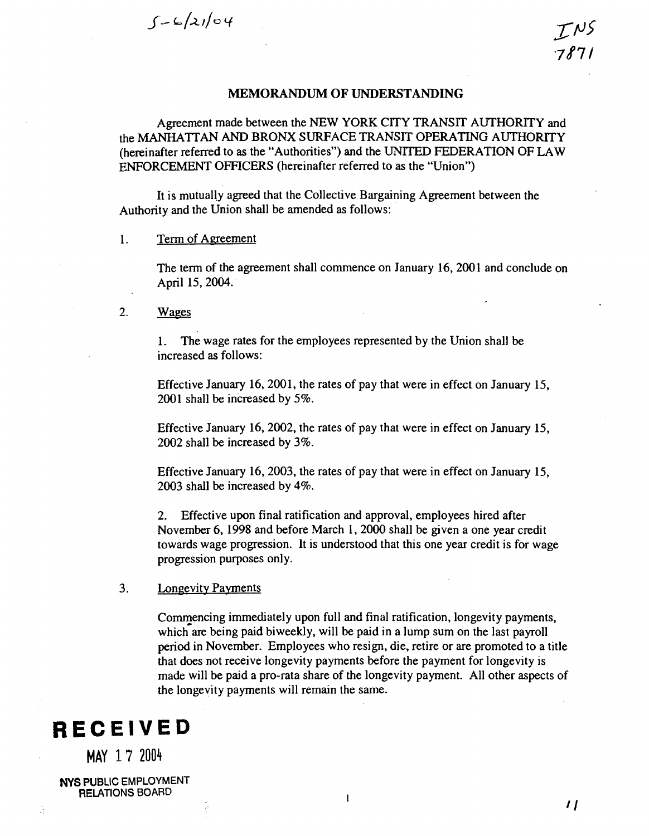$5 - 6/2104$ 

#### **MEMORANDUM OF UNDERSTANDING**

Agreement made between the NEW YORK CITY TRANSIT AUTHORITY and the MANHATTAN AND BRONX SURFACE TRANSIT OPERATING AUTHORITY (hereinafter referred to as the "Authorities") and the UNITED FEDERATION OF LAW ENFORCEMENT OFFICERS (hereinafter referred to as the "Union")

It is mutually agreed that the Collective Bargaining Agreement between the Authority and the Union shall be amended as follows:

#### 1. Term of Agreement

The term of the agreement shall commence on January 16,2001 and conclude on April 15,2004.

2. Wages

1. The wage rates for the employees represented by the Union shall be increased as follows:

Effective January 16,2001, the rates of pay that were in effect on January 15, 2001 shall be increased by 5%.

Effective January 16,2002, the rates of pay that were in effect on January 15, 2002 shall be increased by 3%.

Effective January 16,2003, the rates of pay that were in effect on January 15, 2003 shall be increased by 4%.

2. Effective upon final ratification and approval, employees hired after November 6, 1998 and before March 1,2000 shall be given a one year credit towards wage progression. It is understood that this one year credit is for wage progression purposes only.

#### $3.$ Longevity Payments

Commencing immediately upon full and final ratification, longevity payments, which are being paid biweekly, will be paid in a lump sum on the last payroll period in November. Employees who resign, die, retire or are promoted to a title that does not receive longevity payments before the payment for longevity is made will be paid a pro-rata share of the longevity payment. All other aspects of the longevity payments will remain the same.

# **RECEIVED**

**MAY 17** 2004

**NYS PUBLIC EMPLOYMENT RELATIONS BOARD** 

ũ

 $\mathbf{I}$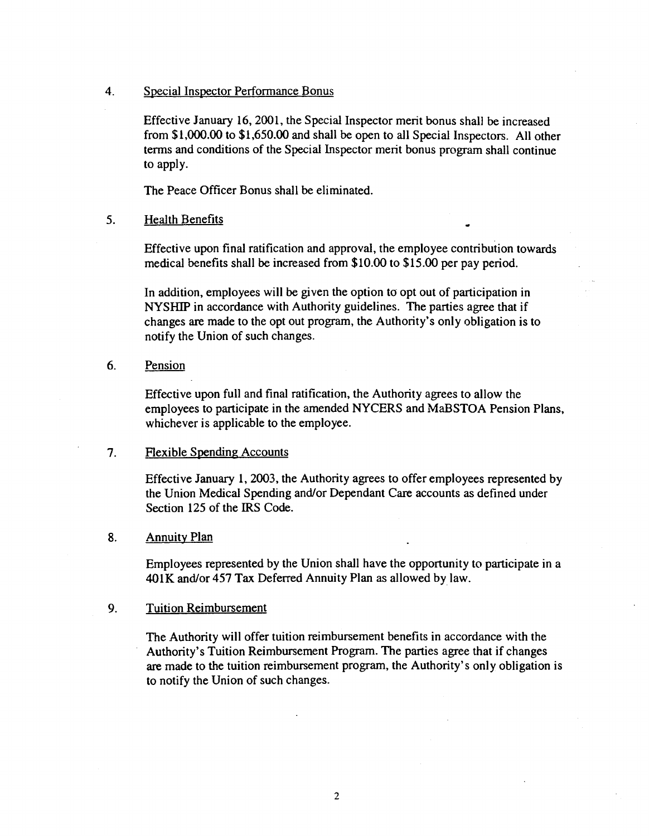#### 4. Special Inspector Performance Bonus

Effective January 16,2001, the Special Inspector merit bonus shall be increased from \$1,000.00 to \$1,650.00 and shall be open to all Special Inspectors. All other terms and conditions of the Special Inspector merit bonus program shall continue to apply.

The Peace Officer Bonus shall be eliminated.

#### 5. Health Benefits

Effective upon final ratification and approval, the employee contribution towards medical benefits shall be increased from \$10.00 to \$15.00 per pay period.

In addition, employees will be given the option to opt out of participation in NYSHIP in accordance with Authority guidelines. The parties agree that if changes are made to the opt out program, the Authority's only obligation is to notify the Union of such changes.

### 6. Pension

Effective upon full and final ratification, the Authority agrees to allow the employees to participate in the amended NYCERS and MaBSTOA Pension Plans, whichever is applicable to the employee.

#### 7. Flexible Spending Accounts

Effective January 1,2003, the Authority agrees to offer employees represented by the Union Medical Spending and/or Dependant Care accounts **as** defined under Section 125 of the IRS Code.

#### 8. Annuity Plan

Employees represented by the Union shall have the opportunity to participate in a 401K and/or 457 Tax Deferred Annuity Plan **as** allowed by law.

#### 9. Tuition Reimbursement

The Authority will offer tuition reimbursement benefits in accordance with the Authority's Tuition Reimbursement Program. The parties agree that if changes are made to the tuition reimbursement program, the Authority's only obligation is to notify the Union of such changes.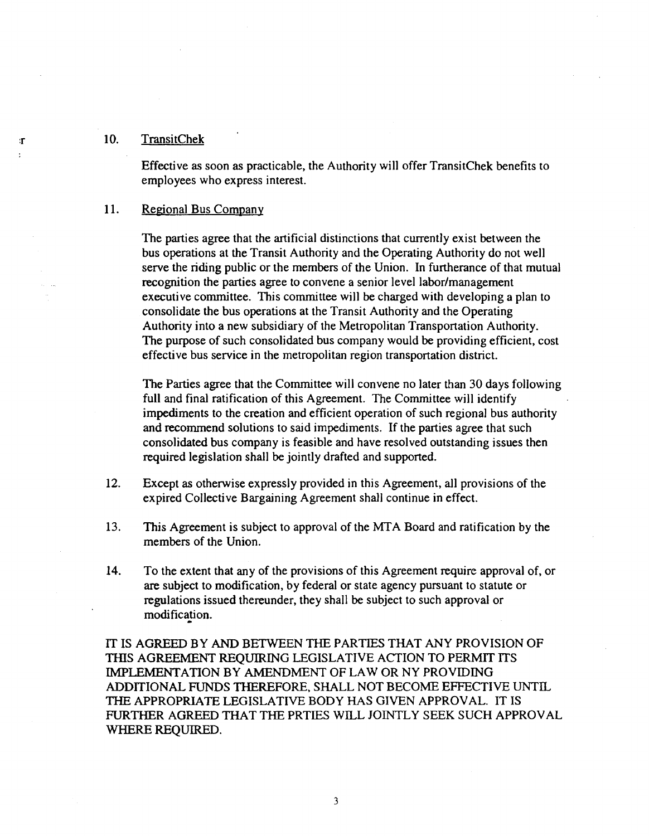#### **10.** TransitChek

 $\mathbf{r}$ 

Effective **as** soon **as** practicable, the Authority will offer TransitChek benefits to employees who express interest.

#### 11. **Regional Bus Company**

The parties agree that the artificial distinctions that currently exist between the bus operations at the Transit Authority and the Operating Authority do not well serve the riding public or the members of the Union. In furtherance of that mutual recognition the parties agree to convene a senior level labor/management executive committee. This committee will be charged with developing a plan to consolidate the bus operations at the Transit Authority and the Operating Authority into a new subsidiary of the Metropolitan Transportation Authority. The purpose of such consolidated bus company would be providing efficient, cost effective bus service in the metropolitan region transportation district.

The Parties agree that the Committee will convene no later than **30** days following full and final ratification of this Agreement. The Committee will identify impediments to the creation and efficient operation of such regional bus authority and recommend solutions to said impediments. If the parties agree that such consolidated bus company is feasible and have resolved outstanding issues then required legislation shall be jointly drafted and supported.

- **12.** Except **as** otherwise expressly provided in this Agreement, all provisions of the expired Collective Bargaining Agreement shall continue in effect.
- **13.** This Agreement is subject to approval of the MTA Board and ratification by the members of the Union.
- **14.** To the extent that any of the provisions of this Agreement require approval of, or are subject to modification, by federal or state agency pursuant to statute or regulations issued thereunder, they shall be subject to such approval or modification.

IT IS AGREED BY AND BETWEEN THE PARTIES THAT ANY PROVISION OF THIS AGREEMENT REQUIRING LEGISLATIVE ACTION TO PERMIT ITS IMPLEMENTATION BY AMENDMENT OF LAW OR NY PROVIDING ADDITIONAL FUNDS THEREFORE, SHALL NOT BECOME EFFECTIVE UNTIL **THE** APPROPRIATE LEGISLATIVE BODY HAS GIVEN APPROVAL. IT IS FURTHER AGREED THAT THE PRTIES WILL JOINTLY SEEK SUCH APPROVAL WHERE REQUIRED.